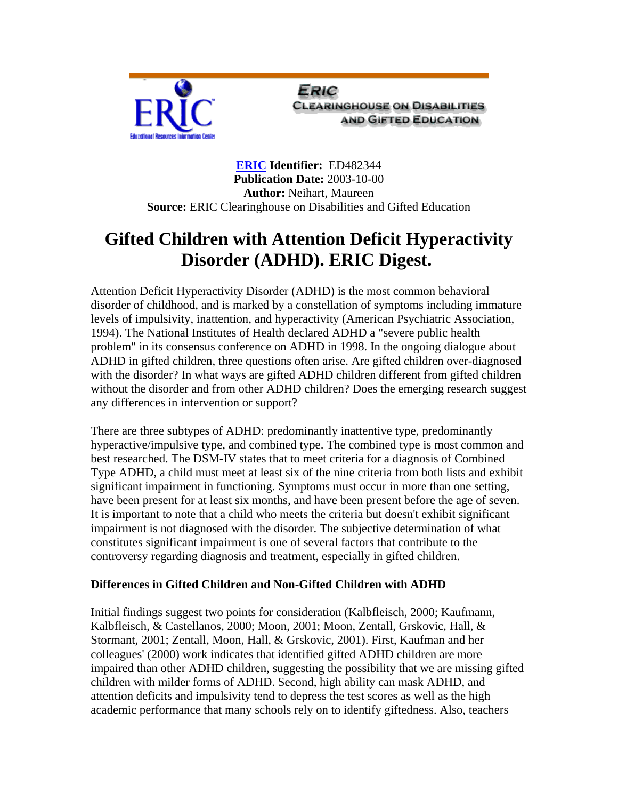

Eric **CLEARINGHOUSE ON DISABILITIES AND GIFTED EDUCATION** 

**[ERIC](http://www.eric.ed.gov/) Identifier:** ED482344 **Publication Date:** 2003-10-00 **Author:** Neihart, Maureen **Source:** ERIC Clearinghouse on Disabilities and Gifted Education

# **Gifted Children with Attention Deficit Hyperactivity Disorder (ADHD). ERIC Digest.**

Attention Deficit Hyperactivity Disorder (ADHD) is the most common behavioral disorder of childhood, and is marked by a constellation of symptoms including immature levels of impulsivity, inattention, and hyperactivity (American Psychiatric Association, 1994). The National Institutes of Health declared ADHD a "severe public health problem" in its consensus conference on ADHD in 1998. In the ongoing dialogue about ADHD in gifted children, three questions often arise. Are gifted children over-diagnosed with the disorder? In what ways are gifted ADHD children different from gifted children without the disorder and from other ADHD children? Does the emerging research suggest any differences in intervention or support?

There are three subtypes of ADHD: predominantly inattentive type, predominantly hyperactive/impulsive type, and combined type. The combined type is most common and best researched. The DSM-IV states that to meet criteria for a diagnosis of Combined Type ADHD, a child must meet at least six of the nine criteria from both lists and exhibit significant impairment in functioning. Symptoms must occur in more than one setting, have been present for at least six months, and have been present before the age of seven. It is important to note that a child who meets the criteria but doesn't exhibit significant impairment is not diagnosed with the disorder. The subjective determination of what constitutes significant impairment is one of several factors that contribute to the controversy regarding diagnosis and treatment, especially in gifted children.

## **Differences in Gifted Children and Non-Gifted Children with ADHD**

Initial findings suggest two points for consideration (Kalbfleisch, 2000; Kaufmann, Kalbfleisch, & Castellanos, 2000; Moon, 2001; Moon, Zentall, Grskovic, Hall, & Stormant, 2001; Zentall, Moon, Hall, & Grskovic, 2001). First, Kaufman and her colleagues' (2000) work indicates that identified gifted ADHD children are more impaired than other ADHD children, suggesting the possibility that we are missing gifted children with milder forms of ADHD. Second, high ability can mask ADHD, and attention deficits and impulsivity tend to depress the test scores as well as the high academic performance that many schools rely on to identify giftedness. Also, teachers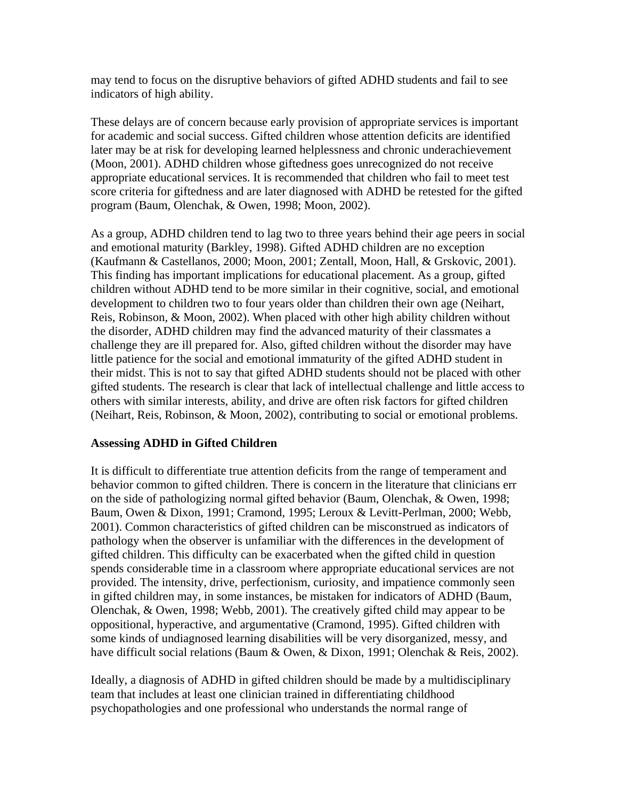may tend to focus on the disruptive behaviors of gifted ADHD students and fail to see indicators of high ability.

These delays are of concern because early provision of appropriate services is important for academic and social success. Gifted children whose attention deficits are identified later may be at risk for developing learned helplessness and chronic underachievement (Moon, 2001). ADHD children whose giftedness goes unrecognized do not receive appropriate educational services. It is recommended that children who fail to meet test score criteria for giftedness and are later diagnosed with ADHD be retested for the gifted program (Baum, Olenchak, & Owen, 1998; Moon, 2002).

As a group, ADHD children tend to lag two to three years behind their age peers in social and emotional maturity (Barkley, 1998). Gifted ADHD children are no exception (Kaufmann & Castellanos, 2000; Moon, 2001; Zentall, Moon, Hall, & Grskovic, 2001). This finding has important implications for educational placement. As a group, gifted children without ADHD tend to be more similar in their cognitive, social, and emotional development to children two to four years older than children their own age (Neihart, Reis, Robinson, & Moon, 2002). When placed with other high ability children without the disorder, ADHD children may find the advanced maturity of their classmates a challenge they are ill prepared for. Also, gifted children without the disorder may have little patience for the social and emotional immaturity of the gifted ADHD student in their midst. This is not to say that gifted ADHD students should not be placed with other gifted students. The research is clear that lack of intellectual challenge and little access to others with similar interests, ability, and drive are often risk factors for gifted children (Neihart, Reis, Robinson, & Moon, 2002), contributing to social or emotional problems.

#### **Assessing ADHD in Gifted Children**

It is difficult to differentiate true attention deficits from the range of temperament and behavior common to gifted children. There is concern in the literature that clinicians err on the side of pathologizing normal gifted behavior (Baum, Olenchak, & Owen, 1998; Baum, Owen & Dixon, 1991; Cramond, 1995; Leroux & Levitt-Perlman, 2000; Webb, 2001). Common characteristics of gifted children can be misconstrued as indicators of pathology when the observer is unfamiliar with the differences in the development of gifted children. This difficulty can be exacerbated when the gifted child in question spends considerable time in a classroom where appropriate educational services are not provided. The intensity, drive, perfectionism, curiosity, and impatience commonly seen in gifted children may, in some instances, be mistaken for indicators of ADHD (Baum, Olenchak, & Owen, 1998; Webb, 2001). The creatively gifted child may appear to be oppositional, hyperactive, and argumentative (Cramond, 1995). Gifted children with some kinds of undiagnosed learning disabilities will be very disorganized, messy, and have difficult social relations (Baum & Owen, & Dixon, 1991; Olenchak & Reis, 2002).

Ideally, a diagnosis of ADHD in gifted children should be made by a multidisciplinary team that includes at least one clinician trained in differentiating childhood psychopathologies and one professional who understands the normal range of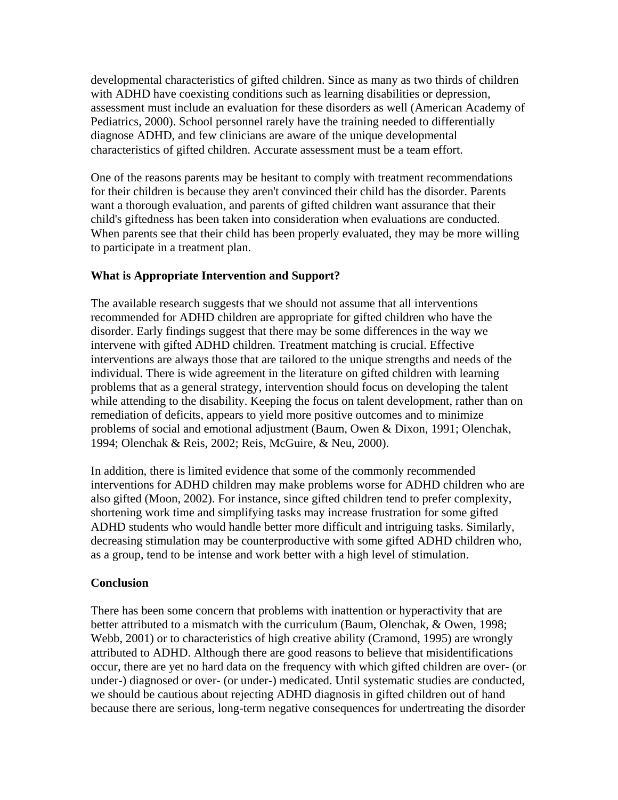developmental characteristics of gifted children. Since as many as two thirds of children with ADHD have coexisting conditions such as learning disabilities or depression, assessment must include an evaluation for these disorders as well (American Academy of Pediatrics, 2000). School personnel rarely have the training needed to differentially diagnose ADHD, and few clinicians are aware of the unique developmental characteristics of gifted children. Accurate assessment must be a team effort.

One of the reasons parents may be hesitant to comply with treatment recommendations for their children is because they aren't convinced their child has the disorder. Parents want a thorough evaluation, and parents of gifted children want assurance that their child's giftedness has been taken into consideration when evaluations are conducted. When parents see that their child has been properly evaluated, they may be more willing to participate in a treatment plan.

## **What is Appropriate Intervention and Support?**

The available research suggests that we should not assume that all interventions recommended for ADHD children are appropriate for gifted children who have the disorder. Early findings suggest that there may be some differences in the way we intervene with gifted ADHD children. Treatment matching is crucial. Effective interventions are always those that are tailored to the unique strengths and needs of the individual. There is wide agreement in the literature on gifted children with learning problems that as a general strategy, intervention should focus on developing the talent while attending to the disability. Keeping the focus on talent development, rather than on remediation of deficits, appears to yield more positive outcomes and to minimize problems of social and emotional adjustment (Baum, Owen & Dixon, 1991; Olenchak, 1994; Olenchak & Reis, 2002; Reis, McGuire, & Neu, 2000).

In addition, there is limited evidence that some of the commonly recommended interventions for ADHD children may make problems worse for ADHD children who are also gifted (Moon, 2002). For instance, since gifted children tend to prefer complexity, shortening work time and simplifying tasks may increase frustration for some gifted ADHD students who would handle better more difficult and intriguing tasks. Similarly, decreasing stimulation may be counterproductive with some gifted ADHD children who, as a group, tend to be intense and work better with a high level of stimulation.

## **Conclusion**

There has been some concern that problems with inattention or hyperactivity that are better attributed to a mismatch with the curriculum (Baum, Olenchak, & Owen, 1998; Webb, 2001) or to characteristics of high creative ability (Cramond, 1995) are wrongly attributed to ADHD. Although there are good reasons to believe that misidentifications occur, there are yet no hard data on the frequency with which gifted children are over- (or under-) diagnosed or over- (or under-) medicated. Until systematic studies are conducted, we should be cautious about rejecting ADHD diagnosis in gifted children out of hand because there are serious, long-term negative consequences for undertreating the disorder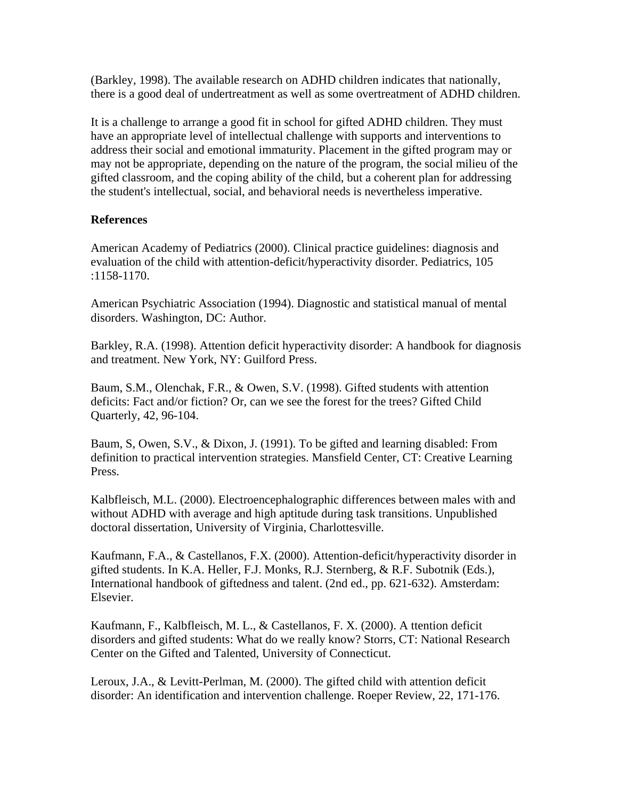(Barkley, 1998). The available research on ADHD children indicates that nationally, there is a good deal of undertreatment as well as some overtreatment of ADHD children.

It is a challenge to arrange a good fit in school for gifted ADHD children. They must have an appropriate level of intellectual challenge with supports and interventions to address their social and emotional immaturity. Placement in the gifted program may or may not be appropriate, depending on the nature of the program, the social milieu of the gifted classroom, and the coping ability of the child, but a coherent plan for addressing the student's intellectual, social, and behavioral needs is nevertheless imperative.

#### **References**

American Academy of Pediatrics (2000). Clinical practice guidelines: diagnosis and evaluation of the child with attention-deficit/hyperactivity disorder. Pediatrics, 105 :1158-1170.

American Psychiatric Association (1994). Diagnostic and statistical manual of mental disorders. Washington, DC: Author.

Barkley, R.A. (1998). Attention deficit hyperactivity disorder: A handbook for diagnosis and treatment. New York, NY: Guilford Press.

Baum, S.M., Olenchak, F.R., & Owen, S.V. (1998). Gifted students with attention deficits: Fact and/or fiction? Or, can we see the forest for the trees? Gifted Child Quarterly, 42, 96-104.

Baum, S, Owen, S.V., & Dixon, J. (1991). To be gifted and learning disabled: From definition to practical intervention strategies. Mansfield Center, CT: Creative Learning Press.

Kalbfleisch, M.L. (2000). Electroencephalographic differences between males with and without ADHD with average and high aptitude during task transitions. Unpublished doctoral dissertation, University of Virginia, Charlottesville.

Kaufmann, F.A., & Castellanos, F.X. (2000). Attention-deficit/hyperactivity disorder in gifted students. In K.A. Heller, F.J. Monks, R.J. Sternberg, & R.F. Subotnik (Eds.), International handbook of giftedness and talent. (2nd ed., pp. 621-632). Amsterdam: Elsevier.

Kaufmann, F., Kalbfleisch, M. L., & Castellanos, F. X. (2000). A ttention deficit disorders and gifted students: What do we really know? Storrs, CT: National Research Center on the Gifted and Talented, University of Connecticut.

Leroux, J.A., & Levitt-Perlman, M. (2000). The gifted child with attention deficit disorder: An identification and intervention challenge. Roeper Review, 22, 171-176.